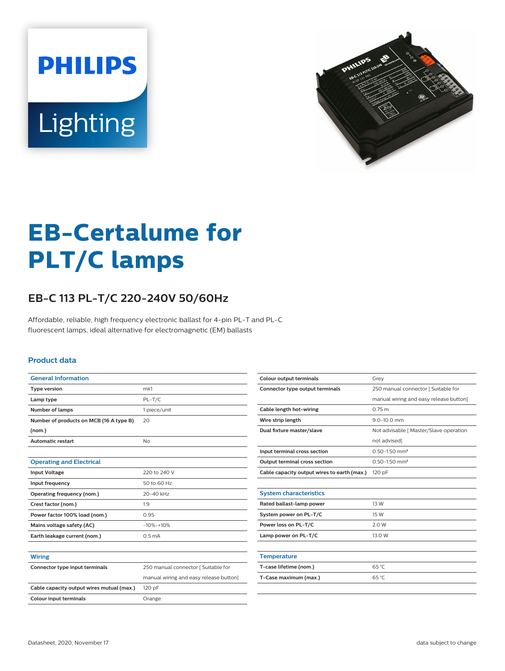



# **EB-Certalume for PLT/C lamps**

## **EB-C 113 PL-T/C 220-240V 50/60Hz**

Affordable, reliable, high frequency electronic ballast for 4-pin PL-T and PL-C fluorescent lamps, ideal alternative for electromagnetic (EM) ballasts

#### **Product data**

| <b>General Information</b>                |                                        |
|-------------------------------------------|----------------------------------------|
| <b>Type version</b>                       | mk1                                    |
| Lamp type                                 | $PL-T/C$                               |
| <b>Number of lamps</b>                    | 1 piece/unit                           |
| Number of products on MCB (16 A type B)   | 20                                     |
| (nom.)                                    |                                        |
| <b>Automatic restart</b>                  | No                                     |
|                                           |                                        |
| <b>Operating and Electrical</b>           |                                        |
| <b>Input Voltage</b>                      | 220 to 240 V                           |
| Input frequency                           | 50 to 60 Hz                            |
| Operating frequency (nom.)                | 20-40 kHz                              |
| Crest factor (nom.)                       | 1.9                                    |
| Power factor 100% load (nom.)             | 0.95                                   |
| Mains voltage safety (AC)                 | $-10% -10%$                            |
| Earth leakage current (nom.)              | 0.5 <sub>mA</sub>                      |
|                                           |                                        |
| <b>Wiring</b>                             |                                        |
| Connector type input terminals            | 250 manual connector [ Suitable for    |
|                                           | manual wiring and easy release button] |
| Cable capacity output wires mutual (max.) | 120 pF                                 |
| <b>Colour input terminals</b>             | Orange                                 |

| <b>Colour output terminals</b>              | Grey                                   |
|---------------------------------------------|----------------------------------------|
| Connector type output terminals             | 250 manual connector [ Suitable for    |
|                                             | manual wiring and easy release button] |
| Cable length hot-wiring                     | $0.75$ m                               |
| Wire strip length                           | $9.0 - 10.0$ mm                        |
| Dual fixture master/slave                   | Not advisable [ Master/Slave operation |
|                                             | not advised]                           |
| Input terminal cross section                | $0.50 - 1.50$ mm <sup>2</sup>          |
| <b>Output terminal cross section</b>        | $0.50 - 1.50$ mm <sup>2</sup>          |
| Cable capacity output wires to earth (max.) | 120 pF                                 |
|                                             |                                        |
| <b>System characteristics</b>               |                                        |
| Rated ballast-lamp power                    | 13 W                                   |
| System power on PL-T/C                      | 15 W                                   |
| Power loss on PL-T/C                        | 2.0 W                                  |
| Lamp power on PL-T/C                        | 13.0 W                                 |
|                                             |                                        |
| <b>Temperature</b>                          |                                        |
| T-case lifetime (nom.)                      | $65^{\circ}$ C                         |
| T-Case maximum (max.)                       | 65 °C                                  |
|                                             |                                        |